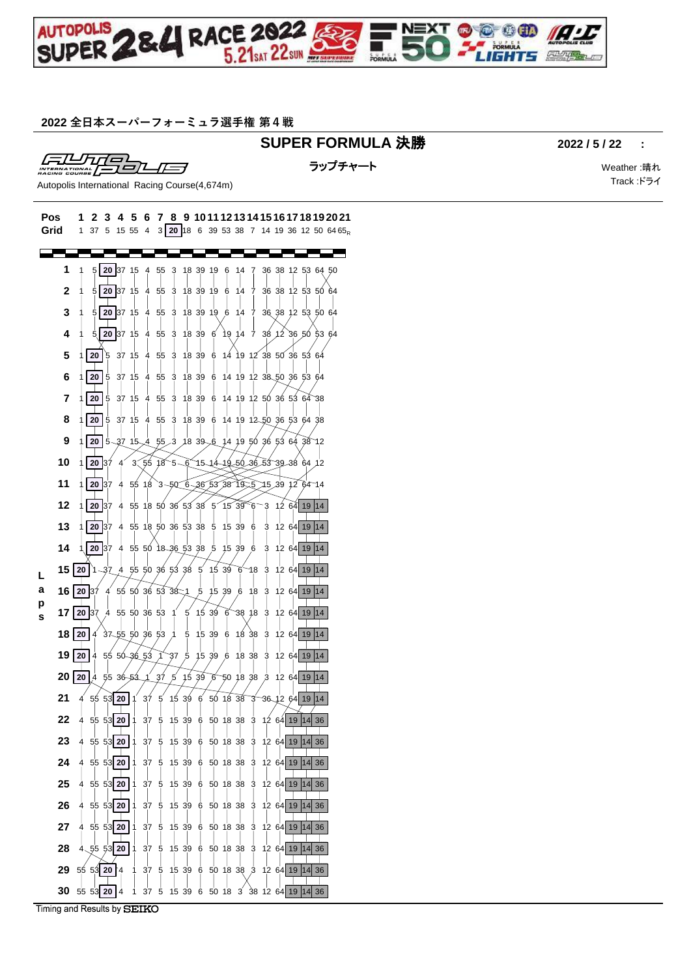

### **全日本スーパーフォーミュラ選手権 第4戦**

## **SUPER FORMULA** 決勝 **2022 / 5 / 22 :**

FILLTITO

ラップチャート さんじょう しょうしゃ Weather :晴れ

Track :ドライ

Autopolis International Racing Course(4,674m)

| Pos<br>Grid |    | 1<br>2<br>37<br>1    | 5                         | 15 55          | 5<br>6<br>4                                                           | 7<br>3 <sup>1</sup> | 8              | 9                               |         | 10 11 12 13 14 15 |    |   |  |                                        | 6 17 18 19 20 21<br><b>20</b> 18 6 39 53 38 7 14 19 36 12 50 64 65 <sub>R</sub> |
|-------------|----|----------------------|---------------------------|----------------|-----------------------------------------------------------------------|---------------------|----------------|---------------------------------|---------|-------------------|----|---|--|----------------------------------------|---------------------------------------------------------------------------------|
|             |    |                      |                           |                |                                                                       |                     |                |                                 |         |                   |    |   |  |                                        |                                                                                 |
|             | 1  | 5                    |                           |                | 20 37 15 4 55                                                         |                     | 3              | 18 39 19 6 14 7                 |         |                   |    |   |  | 36 38 12 53 64 50                      |                                                                                 |
|             | 2  |                      |                           |                | 20 37 15 4                                                            | 55                  | 3              | 18 39 19 6                      |         | 14                | -7 |   |  | 36 38 12 53 50 64                      |                                                                                 |
|             | 3  |                      |                           |                | 20 37 15 4 55                                                         |                     |                | 3 18 39 19 6 14 7               |         |                   |    |   |  | 36 38 12 53 50 64                      |                                                                                 |
|             | 4  |                      |                           |                | 5 20 37 15 4                                                          | 55                  | 3              | 18 39 6                         |         | 19 14             | 7  |   |  | 38 12 36 50 53 64                      |                                                                                 |
|             | 5  |                      | 20<br>5                   | 37 15          |                                                                       | 4 55                | 3              | 18 39 6 14 19 12 38 50 36 53 64 |         |                   |    |   |  |                                        |                                                                                 |
| a<br>s      |    |                      |                           |                |                                                                       |                     |                |                                 |         |                   |    |   |  |                                        |                                                                                 |
|             | 6  |                      | 20 <sub>1</sub><br>5      |                | 37 15 4 55                                                            |                     | 3              | 18 39 6                         |         |                   |    |   |  | 14 19 12 38 50 36 53 64                |                                                                                 |
|             | 7  |                      | 20 5                      |                | 37 15 4 55                                                            |                     | 3              | 18 39 6                         |         |                   |    |   |  | 14 19 12 50 36 53 64 38                |                                                                                 |
|             | 8  |                      | 20 5                      |                | 37 15 4 55                                                            |                     | 3              | 18 39 6                         |         |                   |    |   |  | 14 19 12 50 36 53 64 38                |                                                                                 |
|             | 9  |                      |                           |                | 20   5 37 15 4 55 3 18 39 6 14 19 50 36 53 64 38 12                   |                     |                |                                 |         |                   |    |   |  |                                        |                                                                                 |
|             | 10 |                      | <b>20 37</b>              | $\overline{4}$ | $3.55$ $18$ $5 - 6$ $15 - 14 - 19 - 50 - 36$ $53$ $39 - 38$ $64$ $12$ |                     |                |                                 |         |                   |    |   |  |                                        |                                                                                 |
|             | 11 |                      | 20 37                     | 4              | 55 18 3 -50 6 -36 53 38 19 5 75 39 12 64 14                           |                     |                |                                 |         |                   |    |   |  |                                        |                                                                                 |
|             | 12 |                      | 20 37                     | $\overline{4}$ | 55 18 50 36 53 38 5 15 39 6 3 12 64 19 14                             |                     |                |                                 |         |                   |    |   |  |                                        |                                                                                 |
|             | 13 |                      | 20 37                     | 4              | 55 18 50 36 53 38 5 15 39 6                                           |                     |                |                                 |         |                   |    | З |  | 12 64 19 14                            |                                                                                 |
|             | 14 |                      | 1 20 37 4                 |                | 55 50 18 36 53 38 5                                                   |                     |                |                                 |         | 15 39 6           |    | 3 |  | 12 64 19 14                            |                                                                                 |
|             | 15 | 20                   |                           |                | 1 37 4 55 50 36 53 38 5 15 39 6                                       |                     |                |                                 |         |                   | ຯ8 | 3 |  | 12 64 19 14                            |                                                                                 |
|             | 16 | 20 37                |                           |                | 4 55 50 36 53 38 1 5 15 39 6 18                                       |                     |                |                                 |         |                   |    |   |  | 3 12 64 19 14                          |                                                                                 |
|             | 17 |                      |                           |                | 20 37 4 55 50 36 53 1                                                 |                     |                | $5\;15\;39\;6$                  |         | 38 18             |    | 3 |  | 12 64 19 14                            |                                                                                 |
|             | 18 | 20 <sub>1</sub>      | 4                         |                | $37 - 55$ 50 36 53                                                    |                     | $\overline{1}$ | 5                               |         | 15 39 6 18 38     |    |   |  | 3 12 64 19 14                          |                                                                                 |
|             | 19 |                      |                           |                | 20 4 55 50 36 53 1                                                    |                     | 37             | 5                               |         | 15 39 6 18 38     |    | 3 |  | 12 64 19 14                            |                                                                                 |
|             | 20 | $20 \mid 4$ 55 36 53 |                           |                | ⅎ                                                                     | _37                 | 5              | -39<br>15                       | $\beta$ |                   |    |   |  | 50 18 38 3 12 64 19 14                 |                                                                                 |
|             |    |                      | 555312011                 |                |                                                                       |                     |                |                                 |         |                   |    |   |  |                                        |                                                                                 |
|             | 21 |                      |                           |                | 37                                                                    | $5^{'}$             |                | 15 39 6 50 18 38 3              |         |                   |    |   |  | 36 12 64 19 14                         |                                                                                 |
|             | 22 | 4                    |                           |                | $55\,53$ 20 1 $37\,5$ 15 $39\,6\,50$ 18 $38\,3\,12\,64$ 19 14 36      |                     |                |                                 |         |                   |    |   |  |                                        |                                                                                 |
|             | 23 | 4                    | 55 53 20                  |                | 37                                                                    | -5                  |                | 15 39 6 50 18 38 3              |         |                   |    |   |  | 12 64 19 14 36                         |                                                                                 |
|             | 24 |                      | 4 55 53 20 1              |                | 37                                                                    | -5                  |                | 15 39 6 50 18 38 3              |         |                   |    |   |  | 12 64 19 14 36                         |                                                                                 |
|             | 25 |                      | 4 55 53 20 1              |                | 37                                                                    | -5                  |                | 15 39 6 50 18 38 3              |         |                   |    |   |  | 12 64 19 14 36                         |                                                                                 |
|             | 26 |                      | 4 55 53 20 1              |                |                                                                       | 37 <sub>5</sub>     |                | 15 39 6 50 18 38 3              |         |                   |    |   |  | 12 64 19 14 36                         |                                                                                 |
|             | 27 |                      | 4 55 53 20 1              |                |                                                                       |                     |                | 37 5 15 39 6 50 18 38 3         |         |                   |    |   |  | 12 64 19 14 36                         |                                                                                 |
|             | 28 |                      | $4\overline{55}53$ 20   1 |                |                                                                       |                     |                |                                 |         |                   |    |   |  | 37 5 15 39 6 50 18 38 3 12 64 19 14 36 |                                                                                 |
|             | 29 |                      | 55 53 20 4                |                | 1                                                                     |                     |                |                                 |         |                   |    |   |  | 37 5 15 39 6 50 18 38 3 12 64 19 14 36 |                                                                                 |
|             | 30 |                      | 55 53 20 4                |                | 1                                                                     |                     |                |                                 |         |                   |    |   |  | 37 5 15 39 6 50 18 3 38 12 64 19 14 36 |                                                                                 |

Timing and Results by SEIKO